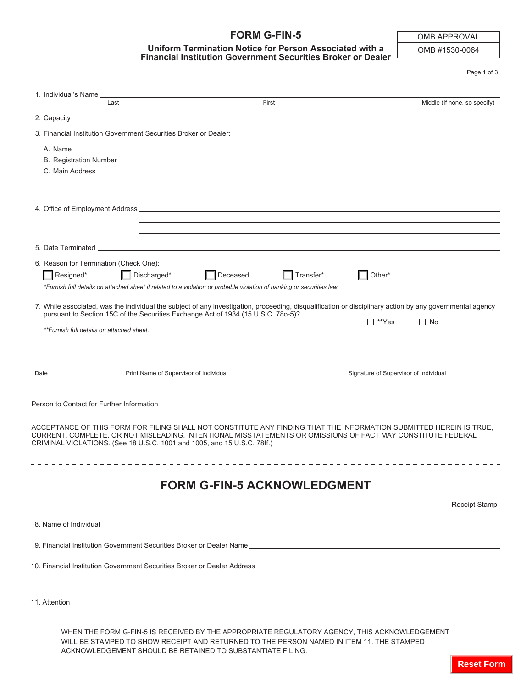## **FORM G-FIN-5**

## **Uniform Termination Notice for Person Associated with a Financial Institution Government Securities Broker or Dealer**

OMB APPROVAL

OMB #1530-0064

Page 1 of 3

| 1. Individual's Name                                                              |                                                                         |                                                                                                                                                                                                                                |                                       |                              |
|-----------------------------------------------------------------------------------|-------------------------------------------------------------------------|--------------------------------------------------------------------------------------------------------------------------------------------------------------------------------------------------------------------------------|---------------------------------------|------------------------------|
|                                                                                   | Last                                                                    | First                                                                                                                                                                                                                          |                                       | Middle (If none, so specify) |
|                                                                                   |                                                                         |                                                                                                                                                                                                                                |                                       |                              |
|                                                                                   | 3. Financial Institution Government Securities Broker or Dealer:        |                                                                                                                                                                                                                                |                                       |                              |
|                                                                                   |                                                                         |                                                                                                                                                                                                                                |                                       |                              |
|                                                                                   |                                                                         |                                                                                                                                                                                                                                |                                       |                              |
|                                                                                   |                                                                         | C. Main Address <b>C. Main Address</b>                                                                                                                                                                                         |                                       |                              |
|                                                                                   |                                                                         | ,我们也不会有什么。""我们的人,我们也不会有什么?""我们的人,我们也不会有什么?""我们的人,我们也不会有什么?""我们的人,我们也不会有什么?""我们的人                                                                                                                                               |                                       |                              |
|                                                                                   |                                                                         |                                                                                                                                                                                                                                |                                       |                              |
|                                                                                   |                                                                         |                                                                                                                                                                                                                                |                                       |                              |
|                                                                                   |                                                                         |                                                                                                                                                                                                                                |                                       |                              |
|                                                                                   |                                                                         | 5. Date Terminated and the control of the control of the control of the control of the control of the control of the control of the control of the control of the control of the control of the control of the control of the  |                                       |                              |
|                                                                                   | 6. Reason for Termination (Check One):                                  |                                                                                                                                                                                                                                |                                       |                              |
| Resigned*                                                                         | $\Box$ Discharged*                                                      | Deceased<br>Transfer*                                                                                                                                                                                                          | Other*                                |                              |
|                                                                                   |                                                                         | *Furnish full details on attached sheet if related to a violation or probable violation of banking or securities law.                                                                                                          |                                       |                              |
|                                                                                   |                                                                         | 7. While associated, was the individual the subject of any investigation, proceeding, disqualification or disciplinary action by any governmental agency                                                                       |                                       |                              |
| pursuant to Section 15C of the Securities Exchange Act of 1934 (15 U.S.C. 780-5)? |                                                                         |                                                                                                                                                                                                                                | l ™Yes                                | $\Box$ No                    |
| **Furnish full details on attached sheet.                                         |                                                                         |                                                                                                                                                                                                                                |                                       |                              |
|                                                                                   |                                                                         |                                                                                                                                                                                                                                |                                       |                              |
|                                                                                   |                                                                         |                                                                                                                                                                                                                                |                                       |                              |
| Date                                                                              | Print Name of Supervisor of Individual                                  |                                                                                                                                                                                                                                | Signature of Supervisor of Individual |                              |
|                                                                                   |                                                                         |                                                                                                                                                                                                                                |                                       |                              |
|                                                                                   |                                                                         | Person to Contact for Further Information League and Contact Contact Contact Contact Contact Contact Contact Contact Contact Contact Contact Contact Contact Contact Contact Contact Contact Contact Contact Contact Contact C |                                       |                              |
|                                                                                   |                                                                         |                                                                                                                                                                                                                                |                                       |                              |
|                                                                                   |                                                                         | ACCEPTANCE OF THIS FORM FOR FILING SHALL NOT CONSTITUTE ANY FINDING THAT THE INFORMATION SUBMITTED HEREIN IS TRUE.                                                                                                             |                                       |                              |
|                                                                                   | CRIMINAL VIOLATIONS. (See 18 U.S.C. 1001 and 1005, and 15 U.S.C. 78ff.) | CURRENT. COMPLETE, OR NOT MISLEADING, INTENTIONAL MISSTATEMENTS OR OMISSIONS OF FACT MAY CONSTITUTE FEDERAL                                                                                                                    |                                       |                              |
|                                                                                   |                                                                         |                                                                                                                                                                                                                                |                                       |                              |
|                                                                                   |                                                                         |                                                                                                                                                                                                                                |                                       |                              |
|                                                                                   |                                                                         | <b>FORM G-FIN-5 ACKNOWLEDGMENT</b>                                                                                                                                                                                             |                                       |                              |
|                                                                                   |                                                                         |                                                                                                                                                                                                                                |                                       |                              |
|                                                                                   |                                                                         |                                                                                                                                                                                                                                |                                       | <b>Receipt Stamp</b>         |
|                                                                                   |                                                                         | 8. Name of Individual entry and the control of the control of the control of the control of the control of the control of the control of the control of the control of the control of the control of the control of the contro |                                       |                              |
|                                                                                   |                                                                         |                                                                                                                                                                                                                                |                                       |                              |
|                                                                                   |                                                                         | 9. Financial Institution Government Securities Broker or Dealer Name                                                                                                                                                           |                                       |                              |
|                                                                                   |                                                                         | 10. Financial Institution Government Securities Broker or Dealer Address [1986] [2012] [2012] [2012] [2012] [2013] [2013] [2013] [2014] [2014] [2014] [2014] [2014] [2014] [2014] [2014] [2014] [2014] [2014] [2014] [2014] [2 |                                       |                              |
|                                                                                   |                                                                         |                                                                                                                                                                                                                                |                                       |                              |
|                                                                                   |                                                                         |                                                                                                                                                                                                                                |                                       |                              |
|                                                                                   |                                                                         |                                                                                                                                                                                                                                |                                       |                              |
|                                                                                   |                                                                         |                                                                                                                                                                                                                                |                                       |                              |

WHEN THE FORM G-FIN-5 IS RECEIVED BY THE APPROPRIATE REGULATORY AGENCY, THIS ACKNOWLEDGEMENT WILL BE STAMPED TO SHOW RECEIPT AND RETURNED TO THE PERSON NAMED IN ITEM 11. THE STAMPED ACKNOWLEDGEMENT SHOULD BE RETAINED TO SUBSTANTIATE FILING.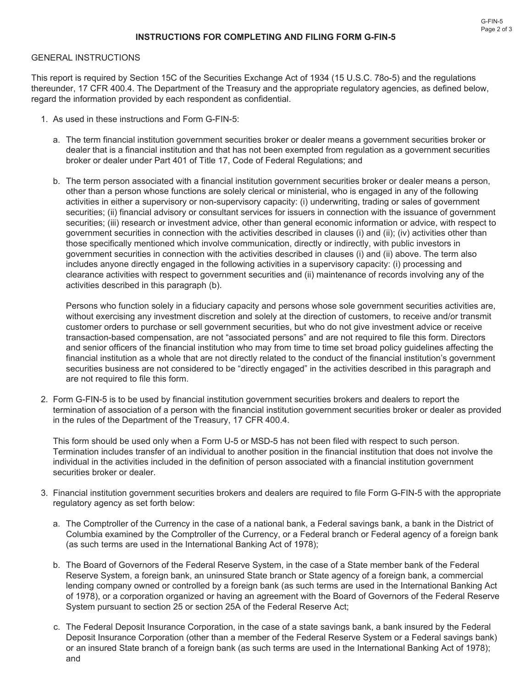## **INSTRUCTIONS FOR COMPLETING AND FILING FORM G-FIN-5**

## GENERAL INSTRUCTIONS

This report is required by Section 15C of the Securities Exchange Act of 1934 (15 U.S.C. 78o-5) and the regulations thereunder, 17 CFR 400.4. The Department of the Treasury and the appropriate regulatory agencies, as defined below, regard the information provided by each respondent as confidential.

- 1. As used in these instructions and Form G-FIN-5:
	- a. The term financial institution government securities broker or dealer means a government securities broker or dealer that is a financial institution and that has not been exempted from regulation as a government securities broker or dealer under Part 401 of Title 17, Code of Federal Regulations; and
	- b. The term person associated with a financial institution government securities broker or dealer means a person, other than a person whose functions are solely clerical or ministerial, who is engaged in any of the following activities in either a supervisory or non-supervisory capacity: (i) underwriting, trading or sales of government securities; (ii) financial advisory or consultant services for issuers in connection with the issuance of government securities; (iii) research or investment advice, other than general economic information or advice, with respect to government securities in connection with the activities described in clauses (i) and (ii); (iv) activities other than those specifically mentioned which involve communication, directly or indirectly, with public investors in government securities in connection with the activities described in clauses (i) and (ii) above. The term also includes anyone directly engaged in the following activities in a supervisory capacity: (i) processing and clearance activities with respect to government securities and (ii) maintenance of records involving any of the activities described in this paragraph (b).

Persons who function solely in a fiduciary capacity and persons whose sole government securities activities are, without exercising any investment discretion and solely at the direction of customers, to receive and/or transmit customer orders to purchase or sell government securities, but who do not give investment advice or receive transaction-based compensation, are not "associated persons" and are not required to file this form. Directors and senior officers of the financial institution who may from time to time set broad policy guidelines affecting the financial institution as a whole that are not directly related to the conduct of the financial institution's government securities business are not considered to be "directly engaged" in the activities described in this paragraph and are not required to file this form.

2. Form G-FIN-5 is to be used by financial institution government securities brokers and dealers to report the termination of association of a person with the financial institution government securities broker or dealer as provided in the rules of the Department of the Treasury, 17 CFR 400.4.

This form should be used only when a Form U-5 or MSD-5 has not been filed with respect to such person. Termination includes transfer of an individual to another position in the financial institution that does not involve the individual in the activities included in the definition of person associated with a financial institution government securities broker or dealer.

- 3. Financial institution government securities brokers and dealers are required to file Form G-FIN-5 with the appropriate regulatory agency as set forth below:
	- a. The Comptroller of the Currency in the case of a national bank, a Federal savings bank, a bank in the District of Columbia examined by the Comptroller of the Currency, or a Federal branch or Federal agency of a foreign bank (as such terms are used in the International Banking Act of 1978);
	- b. The Board of Governors of the Federal Reserve System, in the case of a State member bank of the Federal Reserve System, a foreign bank, an uninsured State branch or State agency of a foreign bank, a commercial lending company owned or controlled by a foreign bank (as such terms are used in the International Banking Act of 1978), or a corporation organized or having an agreement with the Board of Governors of the Federal Reserve System pursuant to section 25 or section 25A of the Federal Reserve Act;
	- c. The Federal Deposit Insurance Corporation, in the case of a state savings bank, a bank insured by the Federal Deposit Insurance Corporation (other than a member of the Federal Reserve System or a Federal savings bank) or an insured State branch of a foreign bank (as such terms are used in the International Banking Act of 1978); and